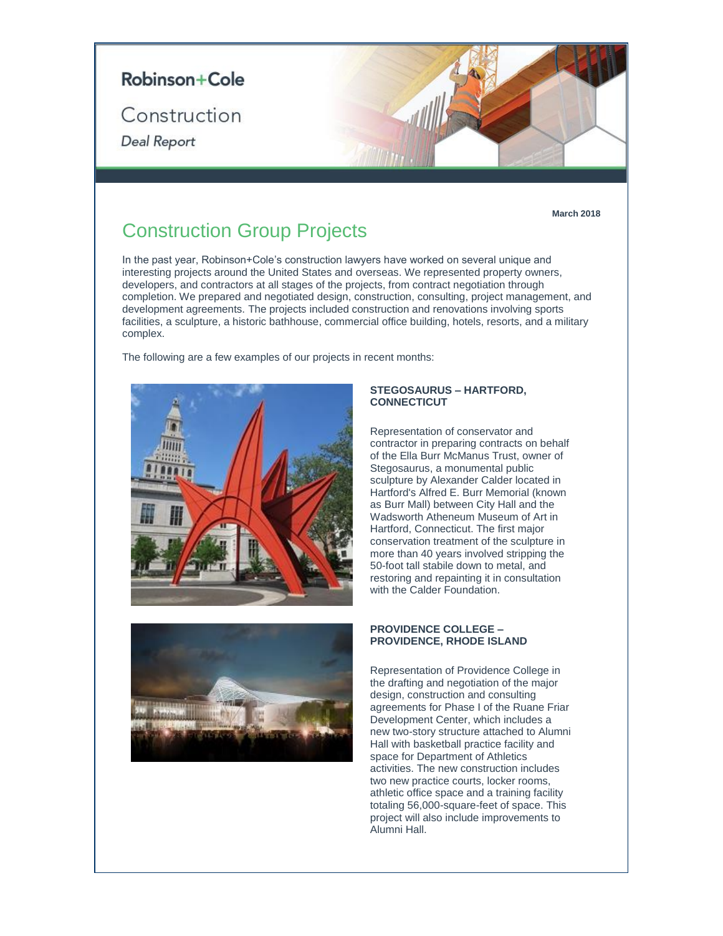

**March 2018**

# Construction Group Projects

In the past year, Robinson+Cole's construction lawyers have worked on several unique and interesting projects around the United States and overseas. We represented property owners, developers, and contractors at all stages of the projects, from contract negotiation through completion. We prepared and negotiated design, construction, consulting, project management, and development agreements. The projects included construction and renovations involving sports facilities, a sculpture, a historic bathhouse, commercial office building, hotels, resorts, and a military complex.

The following are a few examples of our projects in recent months:





#### **STEGOSAURUS – HARTFORD, CONNECTICUT**

Representation of conservator and contractor in preparing contracts on behalf of the Ella Burr McManus Trust, owner of Stegosaurus, a monumental public sculpture by Alexander Calder located in Hartford's Alfred E. Burr Memorial (known as Burr Mall) between City Hall and the Wadsworth Atheneum Museum of Art in Hartford, Connecticut. The first major conservation treatment of the sculpture in more than 40 years involved stripping the 50-foot tall stabile down to metal, and restoring and repainting it in consultation with the Calder Foundation.

#### **PROVIDENCE COLLEGE – PROVIDENCE, RHODE ISLAND**

Representation of Providence College in the drafting and negotiation of the major design, construction and consulting agreements for Phase I of the Ruane Friar Development Center, which includes a new two-story structure attached to Alumni Hall with basketball practice facility and space for Department of Athletics activities. The new construction includes two new practice courts, locker rooms, athletic office space and a training facility totaling 56,000-square-feet of space. This project will also include improvements to Alumni Hall.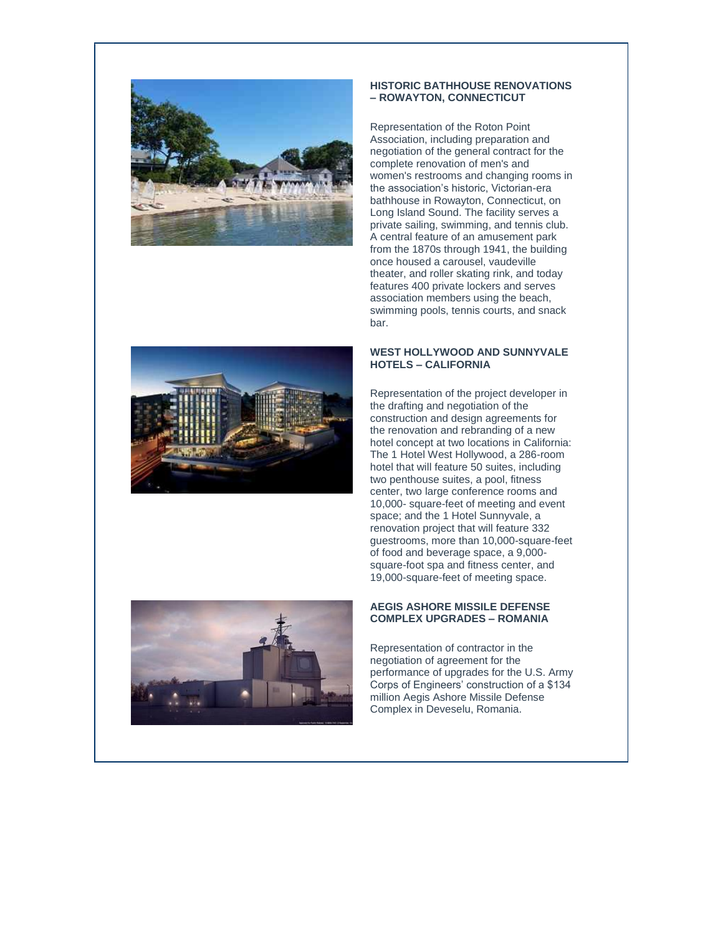

#### **HISTORIC BATHHOUSE RENOVATIONS – ROWAYTON, CONNECTICUT**

Representation of the Roton Point Association, including preparation and negotiation of the general contract for the complete renovation of men's and women's restrooms and changing rooms in the association's historic, Victorian-era bathhouse in Rowayton, Connecticut, on Long Island Sound. The facility serves a private sailing, swimming, and tennis club. A central feature of an amusement park from the 1870s through 1941, the building once housed a carousel, vaudeville theater, and roller skating rink, and today features 400 private lockers and serves association members using the beach, swimming pools, tennis courts, and snack bar.



### **WEST HOLLYWOOD AND SUNNYVALE HOTELS – CALIFORNIA**

Representation of the project developer in the drafting and negotiation of the construction and design agreements for the renovation and rebranding of a new hotel concept at two locations in California: The 1 Hotel West Hollywood, a 286-room hotel that will feature 50 suites, including two penthouse suites, a pool, fitness center, two large conference rooms and 10,000- square-feet of meeting and event space; and the 1 Hotel Sunnyvale, a renovation project that will feature 332 guestrooms, more than 10,000-square-feet of food and beverage space, a 9,000 square-foot spa and fitness center, and 19,000-square-feet of meeting space.

### **AEGIS ASHORE MISSILE DEFENSE COMPLEX UPGRADES – ROMANIA**

Representation of contractor in the negotiation of agreement for the performance of upgrades for the U.S. Army Corps of Engineers' construction of a \$134 million Aegis Ashore Missile Defense Complex in Deveselu, Romania.